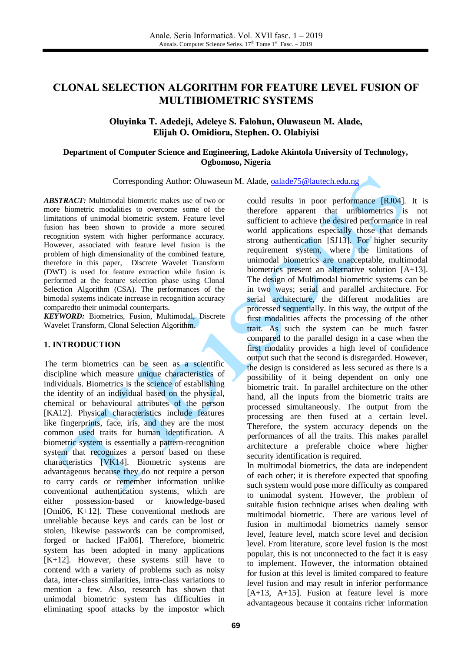# **CLONAL SELECTION ALGORITHM FOR FEATURE LEVEL FUSION OF MULTIBIOMETRIC SYSTEMS**

## **Oluyinka T. Adedeji, Adeleye S. Falohun, Oluwaseun M. Alade, Elijah O. Omidiora, Stephen. O. Olabiyisi**

### **Department of Computer Science and Engineering, Ladoke Akintola University of Technology, Ogbomoso, Nigeria**

Corresponding Author: Oluwaseun M. Alade, [oalade75@lautech.edu.ng](mailto:oalade75@lautech.edu.ng)

*ABSTRACT:* Multimodal biometric makes use of two or more biometric modalities to overcome some of the limitations of unimodal biometric system. Feature level fusion has been shown to provide a more secured recognition system with higher performance accuracy. However, associated with feature level fusion is the problem of high dimensionality of the combined feature, therefore in this paper, Discrete Wavelet Transform (DWT) is used for feature extraction while fusion is performed at the feature selection phase using Clonal Selection Algorithm (CSA). The performances of the bimodal systems indicate increase in recognition accuracy comparedto their unimodal counterparts.

*KEYWORD:* Biometrics, Fusion, Multimodal, Discrete Wavelet Transform, Clonal Selection Algorithm.

### **1. INTRODUCTION**

The term biometrics can be seen as a scientific discipline which measure unique characteristics of individuals. Biometrics is the science of establishing the identity of an individual based on the physical, chemical or behavioural attributes of the person [KA12]. Physical characteristics include features like fingerprints, face, iris, and they are the most common used traits for human identification. A biometric system is essentially a pattern-recognition system that recognizes a person based on these characteristics [VK14]. Biometric systems are advantageous because they do not require a person to carry cards or remember information unlike conventional authentication systems, which are either possession-based or knowledge-based [Omi06, K+12]. These conventional methods are unreliable because keys and cards can be lost or stolen, likewise passwords can be compromised, forged or hacked [Fal06]. Therefore, biometric system has been adopted in many applications  $[K+12]$ . However, these systems still have to contend with a variety of problems such as noisy data, inter-class similarities, intra-class variations to mention a few. Also, research has shown that unimodal biometric system has difficulties in eliminating spoof attacks by the impostor which

could results in poor performance [RJ04]. It is therefore apparent that unibiometrics is not sufficient to achieve the desired performance in real world applications especially those that demands strong authentication [SJ13]. For higher security requirement system, where the limitations of unimodal biometrics are unacceptable, multimodal biometrics present an alternative solution [A+13]. The design of Multimodal biometric systems can be in two ways; serial and parallel architecture. For serial architecture, the different modalities are processed sequentially. In this way, the output of the first modalities affects the processing of the other trait. As such the system can be much faster compared to the parallel design in a case when the first modality provides a high level of confidence output such that the second is disregarded. However, the design is considered as less secured as there is a possibility of it being dependent on only one biometric trait. In parallel architecture on the other hand, all the inputs from the biometric traits are processed simultaneously. The output from the processing are then fused at a certain level. Therefore, the system accuracy depends on the performances of all the traits. This makes parallel architecture a preferable choice where higher security identification is required.

In multimodal biometrics, the data are independent of each other; it is therefore expected that spoofing such system would pose more difficulty as compared to unimodal system. However, the problem of suitable fusion technique arises when dealing with multimodal biometric. There are various level of fusion in multimodal biometrics namely sensor level, feature level, match score level and decision level. From literature, score level fusion is the most popular, this is not unconnected to the fact it is easy to implement. However, the information obtained for fusion at this level is limited compared to feature level fusion and may result in inferior performance [A+13, A+15]. Fusion at feature level is more advantageous because it contains richer information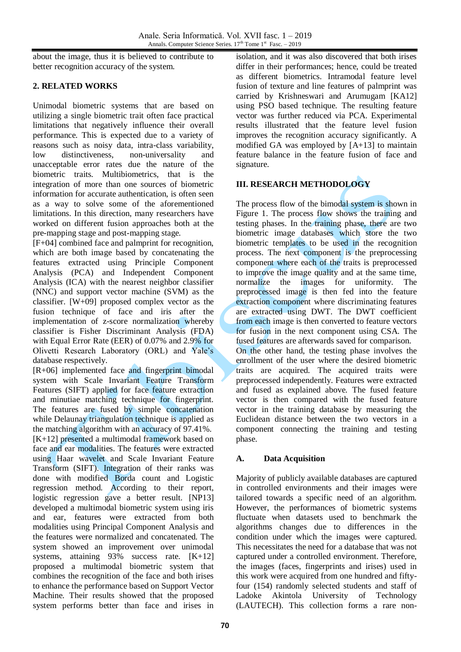about the image, thus it is believed to contribute to better recognition accuracy of the system.

## **2. RELATED WORKS**

Unimodal biometric systems that are based on utilizing a single biometric trait often face practical limitations that negatively influence their overall performance. This is expected due to a variety of reasons such as noisy data, intra-class variability, low distinctiveness, non-universality and unacceptable error rates due the nature of the biometric traits. Multibiometrics, that is the integration of more than one sources of biometric information for accurate authentication, is often seen as a way to solve some of the aforementioned limitations. In this direction, many researchers have worked on different fusion approaches both at the pre-mapping stage and post-mapping stage.

[F+04] combined face and palmprint for recognition, which are both image based by concatenating the features extracted using Principle Component Analysis (PCA) and Independent Component Analysis (ICA) with the nearest neighbor classifier (NNC) and support vector machine (SVM) as the classifier. [W+09] proposed complex vector as the fusion technique of face and iris after the implementation of z-score normalization whereby classifier is Fisher Discriminant Analysis (FDA) with Equal Error Rate (EER) of 0.07% and 2.9% for Olivetti Research Laboratory (ORL) and Yale's database respectively.

[R+06] implemented face and fingerprint bimodal system with Scale Invariant Feature Transform Features (SIFT) applied for face feature extraction and minutiae matching technique for fingerprint. The features are fused by simple concatenation while Delaunay triangulation technique is applied as the matching algorithm with an accuracy of 97.41%.  $[K+12]$  presented a multimodal framework based on face and ear modalities. The features were extracted using Haar wavelet and Scale Invariant Feature Transform (SIFT). Integration of their ranks was done with modified Borda count and Logistic regression method. According to their report, logistic regression gave a better result. [NP13] developed a multimodal biometric system using iris and ear, features were extracted from both modalities using Principal Component Analysis and the features were normalized and concatenated. The system showed an improvement over unimodal systems, attaining 93% success rate. [K+12] proposed a multimodal biometric system that combines the recognition of the face and both irises to enhance the performance based on Support Vector Machine. Their results showed that the proposed system performs better than face and irises in

isolation, and it was also discovered that both irises differ in their performances; hence, could be treated as different biometrics. Intramodal feature level fusion of texture and line features of palmprint was carried by Krishneswari and Arumugam [KA12] using PSO based technique. The resulting feature vector was further reduced via PCA. Experimental results illustrated that the feature level fusion improves the recognition accuracy significantly. A modified GA was employed by [A+13] to maintain feature balance in the feature fusion of face and signature.

# **III. RESEARCH METHODOLOGY**

The process flow of the bimodal system is shown in Figure 1. The process flow shows the training and testing phases. In the training phase, there are two biometric image databases which store the two biometric templates to be used in the recognition process. The next component is the preprocessing component where each of the traits is preprocessed to improve the image quality and at the same time, normalize the images for uniformity. The preprocessed image is then fed into the feature extraction component where discriminating features are extracted using DWT. The DWT coefficient from each image is then converted to feature vectors for fusion in the next component using CSA. The fused features are afterwards saved for comparison. On the other hand, the testing phase involves the enrollment of the user where the desired biometric traits are acquired. The acquired traits were preprocessed independently. Features were extracted

and fused as explained above. The fused feature vector is then compared with the fused feature vector in the training database by measuring the Euclidean distance between the two vectors in a component connecting the training and testing phase.

# **A. Data Acquisition**

Majority of publicly available databases are captured in controlled environments and their images were tailored towards a specific need of an algorithm. However, the performances of biometric systems fluctuate when datasets used to benchmark the algorithms changes due to differences in the condition under which the images were captured. This necessitates the need for a database that was not captured under a controlled environment. Therefore, the images (faces, fingerprints and irises) used in this work were acquired from one hundred and fiftyfour (154) randomly selected students and staff of Ladoke Akintola University of Technology (LAUTECH). This collection forms a rare non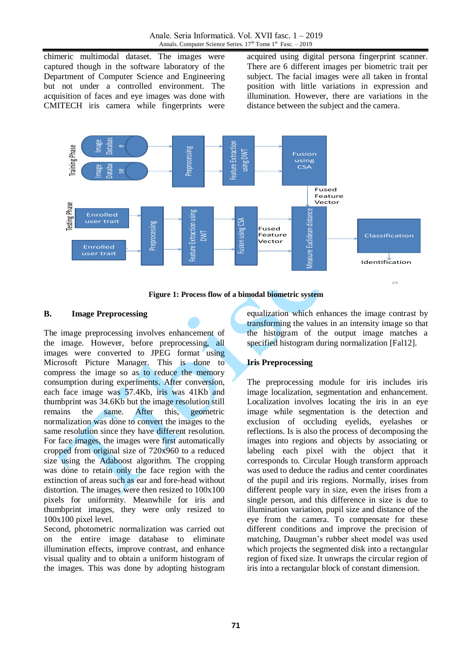chimeric multimodal dataset. The images were captured though in the software laboratory of the Department of Computer Science and Engineering but not under a controlled environment. The acquisition of faces and eye images was done with CMITECH iris camera while fingerprints were acquired using digital persona fingerprint scanner. There are 6 different images per biometric trait per subject. The facial images were all taken in frontal position with little variations in expression and illumination. However, there are variations in the distance between the subject and the camera.



**Figure 1: Process flow of a bimodal biometric system**

### **B. Image Preprocessing**

The image preprocessing involves enhancement of the image. However, before preprocessing, all images were converted to JPEG format using Microsoft Picture Manager. This is done to compress the image so as to reduce the memory consumption during experiments. After conversion, each face image was 57.4Kb, iris was 41Kb and thumbprint was 34.6Kb but the image resolution still remains the same. After this, geometric normalization was done to convert the images to the same resolution since they have different resolution. For face images, the images were first automatically cropped from original size of 720x960 to a reduced size using the Adaboost algorithm. The cropping was done to retain only the face region with the extinction of areas such as ear and fore-head without distortion. The images were then resized to 100x100 pixels for uniformity. Meanwhile for iris and thumbprint images, they were only resized to 100x100 pixel level.

Second, photometric normalization was carried out on the entire image database to eliminate illumination effects, improve contrast, and enhance visual quality and to obtain a uniform histogram of the images. This was done by adopting histogram equalization which enhances the image contrast by transforming the values in an intensity image so that the histogram of the output image matches a specified histogram during normalization [Fal12].

### **Iris Preprocessing**

The preprocessing module for iris includes iris image localization, segmentation and enhancement. Localization involves locating the iris in an eye image while segmentation is the detection and exclusion of occluding eyelids, eyelashes or reflections. Is is also the process of decomposing the images into regions and objects by associating or labeling each pixel with the object that it corresponds to. Circular Hough transform approach was used to deduce the radius and center coordinates of the pupil and iris regions. Normally, irises from different people vary in size, even the irises from a single person, and this difference in size is due to illumination variation, pupil size and distance of the eye from the camera. To compensate for these different conditions and improve the precision of matching, Daugman's rubber sheet model was used which projects the segmented disk into a rectangular region of fixed size. It unwraps the circular region of iris into a rectangular block of constant dimension.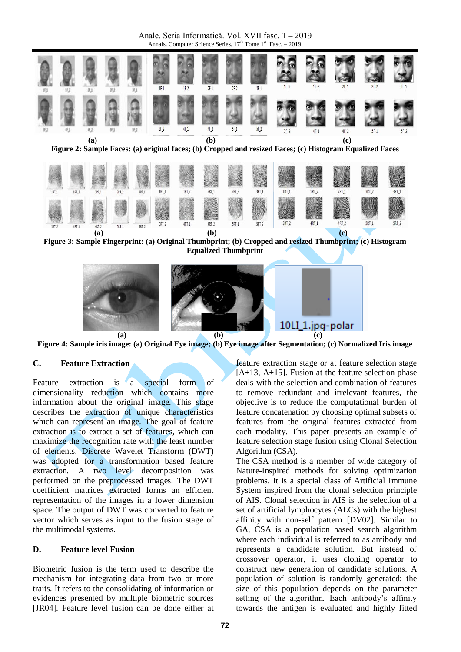Anale. Seria Informatică. Vol. XVII fasc. 1 – 2019 Annals. Computer Science Series.  $17<sup>th</sup>$  Tome  $1<sup>st</sup>$  Fasc.  $-2019$ 



**Figure 3: Sample Fingerprint: (a) Original Thumbprint; (b) Cropped and resized Thumbprint; (c) Histogram Equalized Thumbprint**



**Figure 4: Sample iris image: (a) Original Eye image; (b) Eye image after Segmentation; (c) Normalized Iris image**

### **C. Feature Extraction**

Feature extraction is a special form of dimensionality reduction which contains more information about the original image. This stage describes the extraction of unique characteristics which can represent an image. The goal of feature extraction is to extract a set of features, which can maximize the recognition rate with the least number of elements. Discrete Wavelet Transform (DWT) was adopted for a transformation based feature extraction. A two level decomposition was performed on the preprocessed images. The DWT coefficient matrices extracted forms an efficient representation of the images in a lower dimension space. The output of DWT was converted to feature vector which serves as input to the fusion stage of the multimodal systems.

#### **D. Feature level Fusion**

Biometric fusion is the term used to describe the mechanism for integrating data from two or more traits. It refers to the consolidating of information or evidences presented by multiple biometric sources [JR04]. Feature level fusion can be done either at feature extraction stage or at feature selection stage  $[A+13, A+15]$ . Fusion at the feature selection phase deals with the selection and combination of features to remove redundant and irrelevant features, the objective is to reduce the computational burden of feature concatenation by choosing optimal subsets of features from the original features extracted from each modality. This paper presents an example of feature selection stage fusion using Clonal Selection Algorithm (CSA).

The CSA method is a member of wide category of Nature-Inspired methods for solving optimization problems. It is a special class of Artificial Immune System inspired from the clonal selection principle of AIS. Clonal selection in AIS is the selection of a set of artificial lymphocytes (ALCs) with the highest affinity with non-self pattern [DV02]. Similar to GA, CSA is a population based search algorithm where each individual is referred to as antibody and represents a candidate solution. But instead of crossover operator, it uses cloning operator to construct new generation of candidate solutions. A population of solution is randomly generated; the size of this population depends on the parameter setting of the algorithm. Each antibody's affinity towards the antigen is evaluated and highly fitted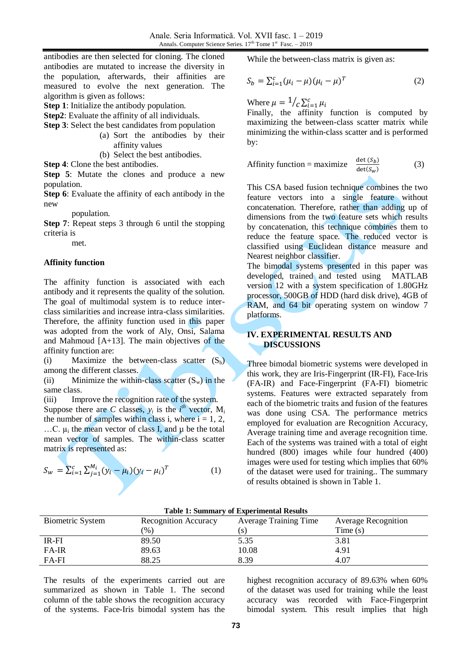antibodies are then selected for cloning. The cloned antibodies are mutated to increase the diversity in the population, afterwards, their affinities are measured to evolve the next generation. The algorithm is given as follows:

**Step 1**: Initialize the antibody population.

**Step2**: Evaluate the affinity of all individuals.

**Step 3**: Select the best candidates from population

- (a) Sort the antibodies by their affinity values
- (b) Select the best antibodies.

**Step 4**: Clone the best antibodies.

**Step 5**: Mutate the clones and produce a new population.

**Step 6**: Evaluate the affinity of each antibody in the new

population.

**Step 7**: Repeat steps 3 through 6 until the stopping criteria is

met.

#### **Affinity function**

The affinity function is associated with each antibody and it represents the quality of the solution. The goal of multimodal system is to reduce interclass similarities and increase intra-class similarities. Therefore, the affinity function used in this paper was adopted from the work of Aly, Onsi, Salama and Mahmoud [A+13]. The main objectives of the affinity function are:

(i) Maximize the between-class scatter  $(S_b)$ among the different classes.

(ii) Minimize the within-class scatter  $(S_w)$  in the same class.

(iii) Improve the recognition rate of the system. Suppose there are *C* classes,  $y_i$  is the  $i^{th}$  vector,  $M_i$ the number of samples within class i, where  $i = 1, 2$ , ...C.  $\mu_i$  the mean vector of class I, and  $\mu$  be the total mean vector of samples. The within-class scatter matrix is represented as:

$$
S_{w} = \sum_{i=1}^{c} \sum_{j=1}^{M_{i}} (\mathbf{y}_{i} - \mu_{i}) (\mathbf{y}_{i} - \mu_{i})^{T}
$$
 (1)

While the between-class matrix is given as:

$$
S_b = \sum_{i=1}^{c} (\mu_i - \mu)(\mu_i - \mu)^T
$$
 (2)

Where  $\mu = \frac{1}{c} \sum_{i=1}^{c}$ 

Finally, the affinity function is computed by maximizing the between-class scatter matrix while minimizing the within-class scatter and is performed by:

Affinity function = maximize 
$$
\frac{\det(S_b)}{\det(S_w)}
$$
 (3)

This CSA based fusion technique combines the two feature vectors into a single feature without concatenation. Therefore, rather than adding up of dimensions from the two feature sets which results by concatenation, this technique combines them to reduce the feature space. The reduced vector is classified using Euclidean distance measure and Nearest neighbor classifier.

The bimodal systems presented in this paper was developed, trained and tested using MATLAB version 12 with a system specification of 1.80GHz processor, 500GB of HDD (hard disk drive), 4GB of RAM, and 64 bit operating system on window 7 platforms.

#### **IV. EXPERIMENTAL RESULTS AND DISCUSSIONS**

Three bimodal biometric systems were developed in this work, they are Iris-Fingerprint (IR-FI), Face-Iris (FA-IR) and Face-Fingerprint (FA-FI) biometric systems. Features were extracted separately from each of the biometric traits and fusion of the features was done using CSA. The performance metrics employed for evaluation are Recognition Accuracy, Average training time and average recognition time. Each of the systems was trained with a total of eight hundred (800) images while four hundred (400) images were used for testing which implies that 60% of the dataset were used for training.. The summary of results obtained is shown in Table 1.

| Table 1: Summary of Experimental Results |                      |                              |                            |
|------------------------------------------|----------------------|------------------------------|----------------------------|
| <b>Biometric System</b>                  | Recognition Accuracy | <b>Average Training Time</b> | <b>Average Recognition</b> |
|                                          | (%)                  |                              | Time(s)                    |
| IR-FI                                    | 89.50                | 5.35                         | 3.81                       |
| FA-IR                                    | 89.63                | 10.08                        | 4.91                       |
| FA-FI                                    | 88.25                | 8.39                         | 4.07                       |

#### **Table 1: Summary of Experimental Results**

The results of the experiments carried out are summarized as shown in Table 1. The second column of the table shows the recognition accuracy of the systems. Face-Iris bimodal system has the highest recognition accuracy of 89.63% when 60% of the dataset was used for training while the least accuracy was recorded with Face-Fingerprint bimodal system. This result implies that high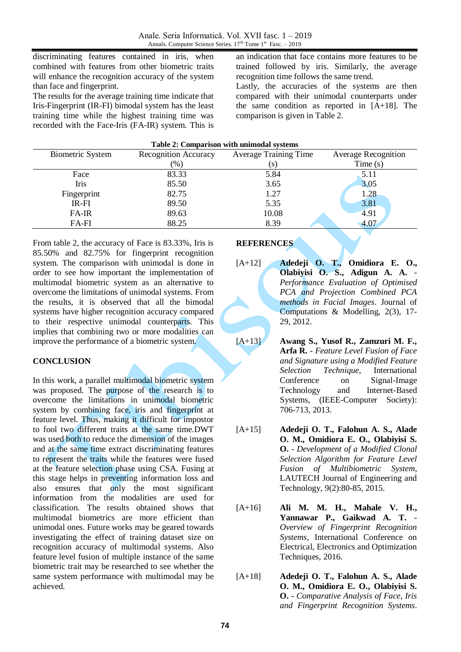discriminating features contained in iris, when combined with features from other biometric traits will enhance the recognition accuracy of the system than face and fingerprint.

The results for the average training time indicate that Iris-Fingerprint (IR-FI) bimodal system has the least training time while the highest training time was recorded with the Face-Iris (FA-IR) system. This is

an indication that face contains more features to be trained followed by iris. Similarly, the average recognition time follows the same trend.

Lastly, the accuracies of the systems are then compared with their unimodal counterparts under the same condition as reported in [A+18]. The comparison is given in Table 2.

| Table 2: Comparison with unimodal systems |                              |                            |  |  |
|-------------------------------------------|------------------------------|----------------------------|--|--|
| <b>Recognition Accuracy</b>               | <b>Average Training Time</b> | <b>Average Recognition</b> |  |  |
| $(\%)$                                    | (s)                          | Time(s)                    |  |  |
| 83.33                                     | 5.84                         | 5.11                       |  |  |
| 85.50                                     | 3.65                         | 3.05                       |  |  |
| 82.75                                     | 1.27                         | 1.28                       |  |  |
| 89.50                                     | 5.35                         | 3.81                       |  |  |
| 89.63                                     | 10.08                        | 4.91                       |  |  |
| 88.25                                     | 8.39                         | 4.07                       |  |  |
|                                           |                              |                            |  |  |

From table 2, the accuracy of Face is 83.33%, Iris is 85.50% and 82.75% for fingerprint recognition system. The comparison with unimodal is done in order to see how important the implementation of multimodal biometric system as an alternative to overcome the limitations of unimodal systems. From the results, it is observed that all the bimodal systems have higher recognition accuracy compared to their respective unimodal counterparts. This implies that combining two or more modalities can improve the performance of a biometric system.

## **CONCLUSION**

In this work, a parallel multimodal biometric system was proposed. The purpose of the research is to overcome the limitations in unimodal biometric system by combining face, iris and fingerprint at feature level. Thus, making it difficult for impostor to fool two different traits at the same time.DWT was used both to reduce the dimension of the images and at the same time extract discriminating features to represent the traits while the features were fused at the feature selection phase using CSA. Fusing at this stage helps in preventing information loss and also ensures that only the most significant information from the modalities are used for classification. The results obtained shows that multimodal biometrics are more efficient than unimodal ones. Future works may be geared towards investigating the effect of training dataset size on recognition accuracy of multimodal systems. Also feature level fusion of multiple instance of the same biometric trait may be researched to see whether the same system performance with multimodal may be achieved.

## **REFERENCES**

[A+12] **Adedeji O. T., Omidiora E. O., Olabiyisi O. S., Adigun A. A.** - *Performance Evaluation of Optimised PCA and Projection Combined PCA methods in Facial Images*. Journal of Computations & Modelling, 2(3), 17- 29, 2012.

- [A+13] **Awang S., Yusof R., Zamzuri M. F., Arfa R.** - *Feature Level Fusion of Face and Signature using a Modified Feature Selection Technique*, International Conference on Signal-Image Technology and Internet-Based Systems, (IEEE-Computer Society): 706-713, 2013.
- [A+15] **Adedeji O. T., Falohun A. S., Alade O. M., Omidiora E. O., Olabiyisi S. O.** - *Development of a Modified Clonal Selection Algorithm for Feature Level Fusion of Multibiometric System*, LAUTECH Journal of Engineering and Technology, 9(2):80-85, 2015.
- [A+16] **Ali M. M. H., Mahale V. H., Yannawar P., Gaikwad A. T.** - *Overview of Fingerprint Recognition Systems*, International Conference on Electrical, Electronics and Optimization Techniques, 2016.
- [A+18] **Adedeji O. T., Falohun A. S., Alade O. M., Omidiora E. O., Olabiyisi S. O.** - *Comparative Analysis of Face, Iris and Fingerprint Recognition Systems*.